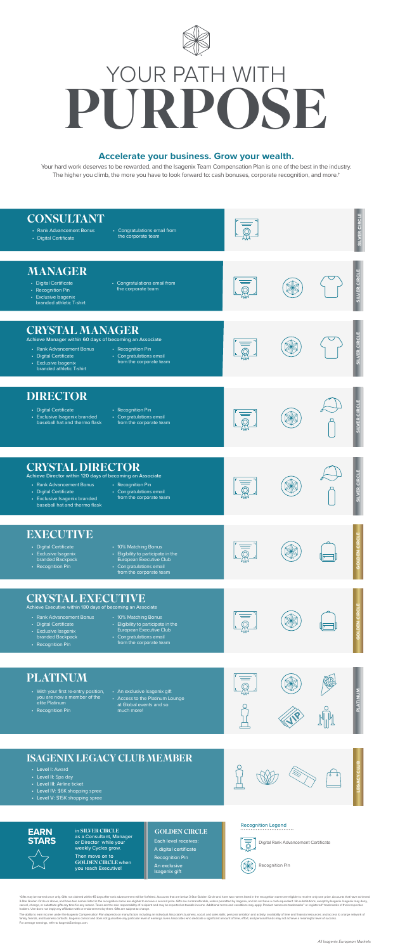Your hard work deserves to be rewarded, and the Isagenix Team Compensation Plan is one of the best in the industry. The higher you climb, the more you have to look forward to: cash bonuses, corporate recognition, and more.<sup>†</sup>

### **Accelerate your business. Grow your wealth.**

in SILVER CIRCLE as a Consultant, Manager or Director while your weekly Cycles grow.

Then move on to GOLDEN CIRCLE when you reach Executive!

#### **EARN STARS**



"Gifts may be earned once only. Gifts not claimed within 45 days after rank advancement will be forfeited. Accounts that are below 3-Star Golden Circle and have two names listed in the recognition name are eligible to rece holders. Use does not imply any affiliation with or endorsement by them. Gifts are subject to change.

The ability to earn income under the Isagenix Compensation Plan depends on many factors including an individual Associate's business, social, and sales skills; personal ambition and activity, availability of time and finan For average earnings, refer to IsagenixEarnings.com.



# PURPOSE YOUR PATH WITH

#### GOLDEN CIRCLE

## EXECUTIVE

## CRYSTAL EXECUTIVE

- Rank Advancement Bonus
- Digital Certificate
- Exclusive Isagenix branded Backpack
- Recognition Pin
- 10% Matching Bonus
- Eligibility to participate in the European Executive Club
- Congratulations email from the corporate team







- Digital Certificate
- Exclusive Isagenix branded Backpack
- Recognition Pin
- 10% Matching Bonus
- Eligibility to participate in the European Executive Club
- Congratulations email from the corporate team



| <b>CONSULTANT</b><br>• Rank Advancement Bonus<br>• Digital Certificate                                                                                                                                       | • Congratulations email from<br>the corporate team                                                                                           |  | <b>SILVER CIRCL</b>  |
|--------------------------------------------------------------------------------------------------------------------------------------------------------------------------------------------------------------|----------------------------------------------------------------------------------------------------------------------------------------------|--|----------------------|
| <b>MANAGER</b><br>• Digital Certificate<br>• Recognition Pin<br>• Exclusive Isagenix<br>branded athletic T-shirt                                                                                             | • Congratulations email from<br>the corporate team                                                                                           |  | SILVER CIRCLE        |
| <b>CRYSTAL MANAGER</b><br>Achieve Manager within 60 days of becoming an Associate<br>• Rank Advancement Bonus<br>• Digital Certificate<br>• Exclusive Isagenix<br>branded athletic T-shirt                   | • Recognition Pin<br>• Congratulations email<br>from the corporate team                                                                      |  | SILVER CIRCLE        |
| <b>DIRECTOR</b><br>• Digital Certificate<br>• Exclusive Isagenix branded<br>baseball hat and thermo flask                                                                                                    | • Recognition Pin<br>• Congratulations email<br>from the corporate team                                                                      |  | SILVER CIRCLE        |
| <b>CRYSTAL DIRECTOR</b><br>Achieve Director within 120 days of becoming an Associate<br>• Rank Advancement Bonus<br>• Digital Certificate<br>• Exclusive Isagenix branded<br>baseball hat and thermo flask   | • Recognition Pin<br>• Congratulations email<br>from the corporate team                                                                      |  | SILVER CIRCLE        |
| <b>EXECUTIVE</b><br>• Digital Certificate<br>• Exclusive Isagenix<br>branded Backpack<br>• Recognition Pin                                                                                                   | • 10% Matching Bonus<br>• Eligibility to participate in the<br>European Executive Club<br>• Congratulations email<br>from the corporate team |  | <b>GOLDEN CIRCLE</b> |
| <b>CRYSTAL EXECUTIVE</b><br>Achieve Executive within 180 days of becoming an Associate<br>• Rank Advancement Bonus<br>• Digital Certificate<br>• Exclusive Isagenix<br>branded Backpack<br>• Recognition Pin | • 10% Matching Bonus<br>• Eligibility to participate in the<br>European Executive Club<br>• Congratulations email<br>from the corporate team |  | <b>GOLDEN CIRCLE</b> |
| <b>PLATINUM</b><br>• With your first re-entry position,<br>you are now a member of the<br>elite Platinum<br>• Recognition Pin                                                                                | • An exclusive Isagenix gift<br>• Access to the Platinum Lounge<br>at Global events and so<br>much more!                                     |  | <b>NUNTINUM</b>      |



## PLATINUM

- With your first re-entry position, you are now a member of the elite Platinum
- Recognition Pin
- An exclusive Isagenix gift
- Access to the Platinum Lounge at Global events and so much more!



## ISAGENIX LEGACY CLUB MEMBER

- Level I: Award
- Level II: Spa day
- Level III: Airline ticket
- Level IV: \$6K shopping spree
- Level V: \$15K shopping spree



**LEGACY CLUB**

Each level receives:

A digital certificate Recognition Pin

An exclusive Isagenix gift

#### Recognition Legend



Recognition Pin